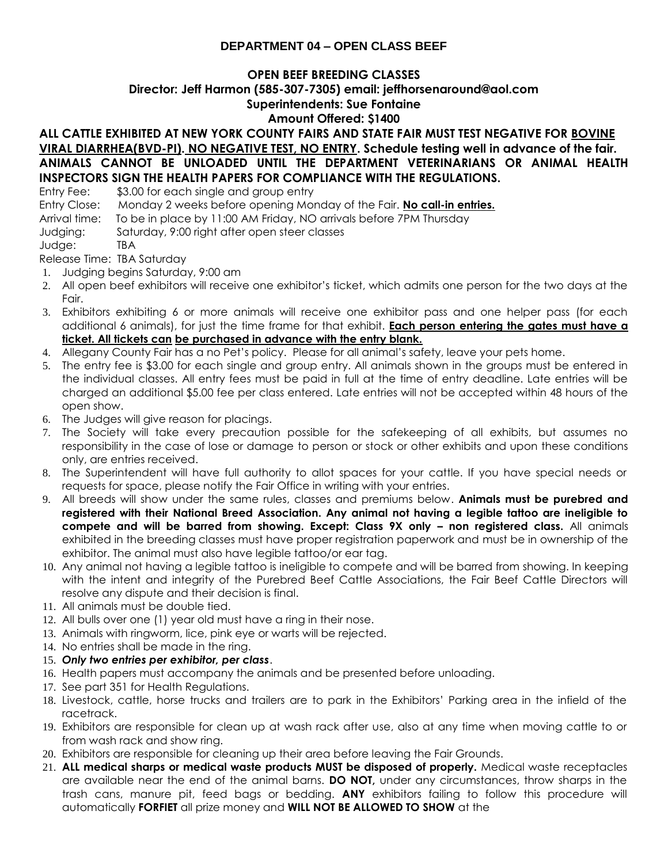## **DEPARTMENT 04 – OPEN CLASS BEEF**

#### **OPEN BEEF BREEDING CLASSES**

# **Director: Jeff Harmon (585-307-7305) email: jeffhorsenaround@aol.com**

# **Superintendents: Sue Fontaine**

# **Amount Offered: \$1400**

## **ALL CATTLE EXHIBITED AT NEW YORK COUNTY FAIRS AND STATE FAIR MUST TEST NEGATIVE FOR BOVINE VIRAL DIARRHEA(BVD-PI). NO NEGATIVE TEST, NO ENTRY. Schedule testing well in advance of the fair. ANIMALS CANNOT BE UNLOADED UNTIL THE DEPARTMENT VETERINARIANS OR ANIMAL HEALTH INSPECTORS SIGN THE HEALTH PAPERS FOR COMPLIANCE WITH THE REGULATIONS.**

Entry Fee: \$3.00 for each single and group entry

Entry Close: Monday 2 weeks before opening Monday of the Fair. **No call-in entries.**

- Arrival time: To be in place by 11:00 AM Friday, NO arrivals before 7PM Thursday
- Judging: Saturday, 9:00 right after open steer classes

Judge: TBA

Release Time: TBA Saturday

- 1. Judging begins Saturday, 9:00 am
- 2. All open beef exhibitors will receive one exhibitor's ticket, which admits one person for the two days at the Fair.
- 3. Exhibitors exhibiting 6 or more animals will receive one exhibitor pass and one helper pass (for each additional 6 animals), for just the time frame for that exhibit. **Each person entering the gates must have a ticket. All tickets can be purchased in advance with the entry blank.**
- 4. Allegany County Fair has a no Pet's policy. Please for all animal's safety, leave your pets home.
- 5. The entry fee is \$3.00 for each single and group entry. All animals shown in the groups must be entered in the individual classes. All entry fees must be paid in full at the time of entry deadline. Late entries will be charged an additional \$5.00 fee per class entered. Late entries will not be accepted within 48 hours of the open show.
- 6. The Judges will give reason for placings.
- 7. The Society will take every precaution possible for the safekeeping of all exhibits, but assumes no responsibility in the case of lose or damage to person or stock or other exhibits and upon these conditions only, are entries received.
- 8. The Superintendent will have full authority to allot spaces for your cattle. If you have special needs or requests for space, please notify the Fair Office in writing with your entries.
- 9. All breeds will show under the same rules, classes and premiums below. **Animals must be purebred and registered with their National Breed Association. Any animal not having a legible tattoo are ineligible to compete and will be barred from showing. Except: Class 9X only – non registered class.** All animals exhibited in the breeding classes must have proper registration paperwork and must be in ownership of the exhibitor. The animal must also have legible tattoo/or ear tag.
- 10. Any animal not having a legible tattoo is ineligible to compete and will be barred from showing. In keeping with the intent and integrity of the Purebred Beef Cattle Associations, the Fair Beef Cattle Directors will resolve any dispute and their decision is final.
- 11. All animals must be double tied.
- 12. All bulls over one (1) year old must have a ring in their nose.
- 13. Animals with ringworm, lice, pink eye or warts will be rejected.
- 14. No entries shall be made in the ring.
- 15. *Only two entries per exhibitor, per class*.
- 16. Health papers must accompany the animals and be presented before unloading.
- 17. See part 351 for Health Regulations.
- 18. Livestock, cattle, horse trucks and trailers are to park in the Exhibitors' Parking area in the infield of the racetrack.
- 19. Exhibitors are responsible for clean up at wash rack after use, also at any time when moving cattle to or from wash rack and show ring.
- 20. Exhibitors are responsible for cleaning up their area before leaving the Fair Grounds.
- 21. **ALL medical sharps or medical waste products MUST be disposed of properly.** Medical waste receptacles are available near the end of the animal barns. **DO NOT,** under any circumstances, throw sharps in the trash cans, manure pit, feed bags or bedding. **ANY** exhibitors failing to follow this procedure will automatically **FORFIET** all prize money and **WILL NOT BE ALLOWED TO SHOW** at the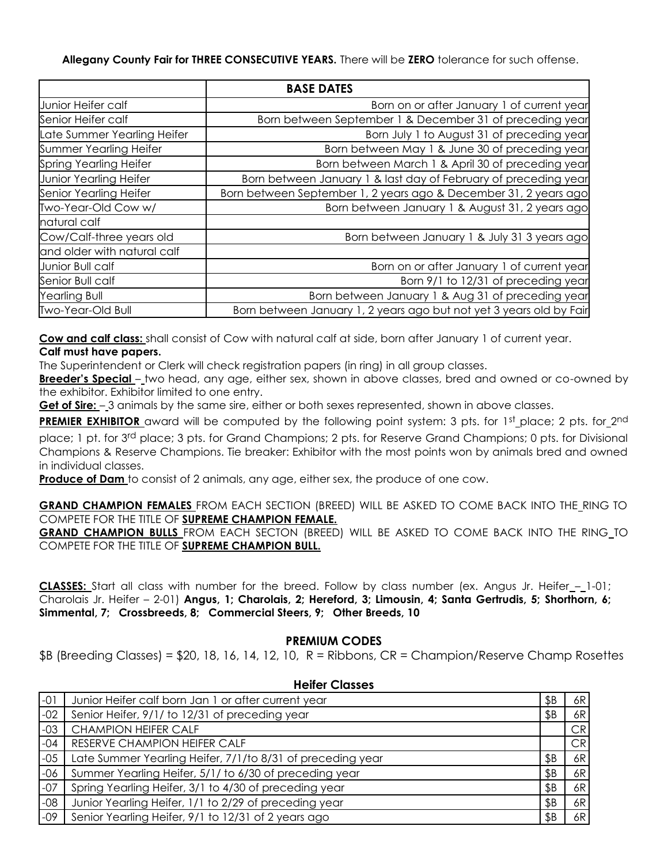**Allegany County Fair for THREE CONSECUTIVE YEARS.** There will be **ZERO** tolerance for such offense.

|                               | <b>BASE DATES</b>                                                   |
|-------------------------------|---------------------------------------------------------------------|
| Junior Heifer calf            | Born on or after January 1 of current year                          |
| Senior Heifer calf            | Born between September 1 & December 31 of preceding year            |
| Late Summer Yearling Heifer   | Born July 1 to August 31 of preceding year                          |
| Summer Yearling Heifer        | Born between May 1 & June 30 of preceding year                      |
| Spring Yearling Heifer        | Born between March 1 & April 30 of preceding year                   |
| <b>Junior Yearling Heifer</b> | Born between January 1 & last day of February of preceding year     |
| Senior Yearling Heifer        | Born between September 1, 2 years ago & December 31, 2 years ago    |
| Two-Year-Old Cow w/           | Born between January 1 & August 31, 2 years ago                     |
| natural calf                  |                                                                     |
| Cow/Calf-three years old      | Born between January 1 & July 31 3 years ago                        |
| and older with natural calf   |                                                                     |
| Junior Bull calf              | Born on or after January 1 of current year                          |
| Senior Bull calf              | Born 9/1 to 12/31 of preceding year                                 |
| Yearling Bull                 | Born between January 1 & Aug 31 of preceding year                   |
| Two-Year-Old Bull             | Born between January 1, 2 years ago but not yet 3 years old by Fair |

**Cow and calf class:** shall consist of Cow with natural calf at side, born after January 1 of current year. **Calf must have papers.**

The Superintendent or Clerk will check registration papers (in ring) in all group classes.

**Breeder's Special** – two head, any age, either sex, shown in above classes, bred and owned or co-owned by the exhibitor. Exhibitor limited to one entry.

**Get of Sire:** – 3 animals by the same sire, either or both sexes represented, shown in above classes.

PREMIER EXHIBITOR award will be computed by the following point system: 3 pts. for 1st place; 2 pts. for 2nd place; 1 pt. for 3rd place; 3 pts. for Grand Champions; 2 pts. for Reserve Grand Champions; 0 pts. for Divisional Champions & Reserve Champions. Tie breaker: Exhibitor with the most points won by animals bred and owned in individual classes.

**Produce of Dam** to consist of 2 animals, any age, either sex, the produce of one cow.

**GRAND CHAMPION FEMALES** FROM EACH SECTION (BREED) WILL BE ASKED TO COME BACK INTO THE RING TO COMPETE FOR THE TITLE OF **SUPREME CHAMPION FEMALE.**

**GRAND CHAMPION BULLS** FROM EACH SECTON (BREED) WILL BE ASKED TO COME BACK INTO THE RING TO COMPETE FOR THE TITLE OF **SUPREME CHAMPION BULL.**

CLASSES: Start all class with number for the breed. Follow by class number (ex. Angus Jr. Heifer\_-\_1-01; Charolais Jr. Heifer – 2-01) **Angus, 1; Charolais, 2; Hereford, 3; Limousin, 4; Santa Gertrudis, 5; Shorthorn, 6; Simmental, 7; Crossbreeds, 8; Commercial Steers, 9; Other Breeds, 10**

#### **PREMIUM CODES**

 $$B$  (Breeding Classes) = \$20, 18, 16, 14, 12, 10, R = Ribbons, CR = Champion/Reserve Champ Rosettes

|       | .                                                          |     |    |  |  |
|-------|------------------------------------------------------------|-----|----|--|--|
| $-01$ | Junior Heifer calf born Jan 1 or after current year        | \$Β | 6R |  |  |
| $-02$ | Senior Heifer, 9/1/ to 12/31 of preceding year             | \$B | 6R |  |  |
| $-03$ | <b>CHAMPION HEIFER CALF</b>                                |     | CR |  |  |
| $-04$ | RESERVE CHAMPION HEIFER CALF                               |     | CR |  |  |
| $-05$ | Late Summer Yearling Heifer, 7/1/to 8/31 of preceding year | \$Β | 6R |  |  |
| $-06$ | Summer Yearling Heifer, 5/1/ to 6/30 of preceding year     | \$Β | 6R |  |  |
| $-07$ | Spring Yearling Heifer, 3/1 to 4/30 of preceding year      | \$Β | 6R |  |  |
| $-08$ | Junior Yearling Heifer, 1/1 to 2/29 of preceding year      | \$Β | 6R |  |  |
| $-09$ | Senior Yearling Heifer, 9/1 to 12/31 of 2 years ago        | \$Β | 6R |  |  |

### **Heifer Classes**